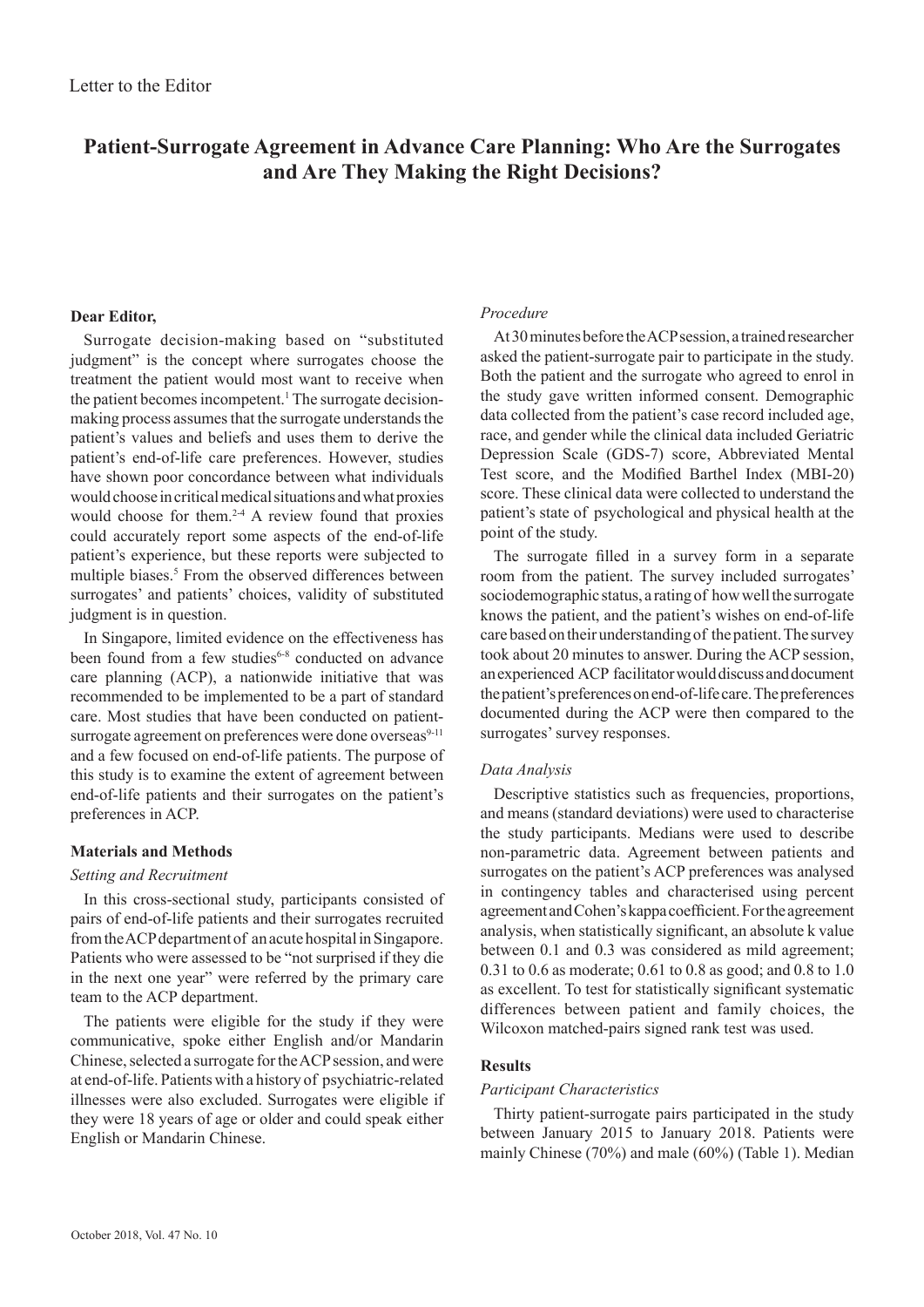# **Patient-Surrogate Agreement in Advance Care Planning: Who Are the Surrogates and Are They Making the Right Decisions?**

# **Dear Editor,**

Surrogate decision-making based on "substituted judgment" is the concept where surrogates choose the treatment the patient would most want to receive when the patient becomes incompetent.<sup>1</sup> The surrogate decisionmaking process assumes that the surrogate understands the patient's values and beliefs and uses them to derive the patient's end-of-life care preferences. However, studies have shown poor concordance between what individuals would choose in critical medical situations and what proxies would choose for them. $2-4$  A review found that proxies could accurately report some aspects of the end-of-life patient's experience, but these reports were subjected to multiple biases.<sup>5</sup> From the observed differences between surrogates' and patients' choices, validity of substituted judgment is in question.

In Singapore, limited evidence on the effectiveness has been found from a few studies<sup>6-8</sup> conducted on advance care planning (ACP), a nationwide initiative that was recommended to be implemented to be a part of standard care. Most studies that have been conducted on patientsurrogate agreement on preferences were done overseas<sup>9-11</sup> and a few focused on end-of-life patients. The purpose of this study is to examine the extent of agreement between end-of-life patients and their surrogates on the patient's preferences in ACP.

# **Materials and Methods**

#### *Setting and Recruitment*

In this cross-sectional study, participants consisted of pairs of end-of-life patients and their surrogates recruited from the ACP department of an acute hospital in Singapore. Patients who were assessed to be "not surprised if they die in the next one year" were referred by the primary care team to the ACP department.

The patients were eligible for the study if they were communicative, spoke either English and/or Mandarin Chinese, selected a surrogate for the ACP session, and were at end-of-life. Patients with a history of psychiatric-related illnesses were also excluded. Surrogates were eligible if they were 18 years of age or older and could speak either English or Mandarin Chinese.

# *Procedure*

At 30 minutes before the ACP session, a trained researcher asked the patient-surrogate pair to participate in the study. Both the patient and the surrogate who agreed to enrol in the study gave written informed consent. Demographic data collected from the patient's case record included age, race, and gender while the clinical data included Geriatric Depression Scale (GDS-7) score, Abbreviated Mental Test score, and the Modified Barthel Index (MBI-20) score. These clinical data were collected to understand the patient's state of psychological and physical health at the point of the study.

The surrogate filled in a survey form in a separate room from the patient. The survey included surrogates' sociodemographic status, a rating of how well the surrogate knows the patient, and the patient's wishes on end-of-life care based on their understanding of the patient. The survey took about 20 minutes to answer. During the ACP session, an experienced ACP facilitator would discuss and document the patient's preferences on end-of-life care. The preferences documented during the ACP were then compared to the surrogates' survey responses.

#### *Data Analysis*

Descriptive statistics such as frequencies, proportions, and means (standard deviations) were used to characterise the study participants. Medians were used to describe non-parametric data. Agreement between patients and surrogates on the patient's ACP preferences was analysed in contingency tables and characterised using percent agreement and Cohen's kappa coefficient. For the agreement analysis, when statistically significant, an absolute k value between 0.1 and 0.3 was considered as mild agreement; 0.31 to 0.6 as moderate; 0.61 to 0.8 as good; and 0.8 to 1.0 as excellent. To test for statistically significant systematic differences between patient and family choices, the Wilcoxon matched-pairs signed rank test was used.

### **Results**

#### *Participant Characteristics*

Thirty patient-surrogate pairs participated in the study between January 2015 to January 2018. Patients were mainly Chinese (70%) and male (60%) (Table 1). Median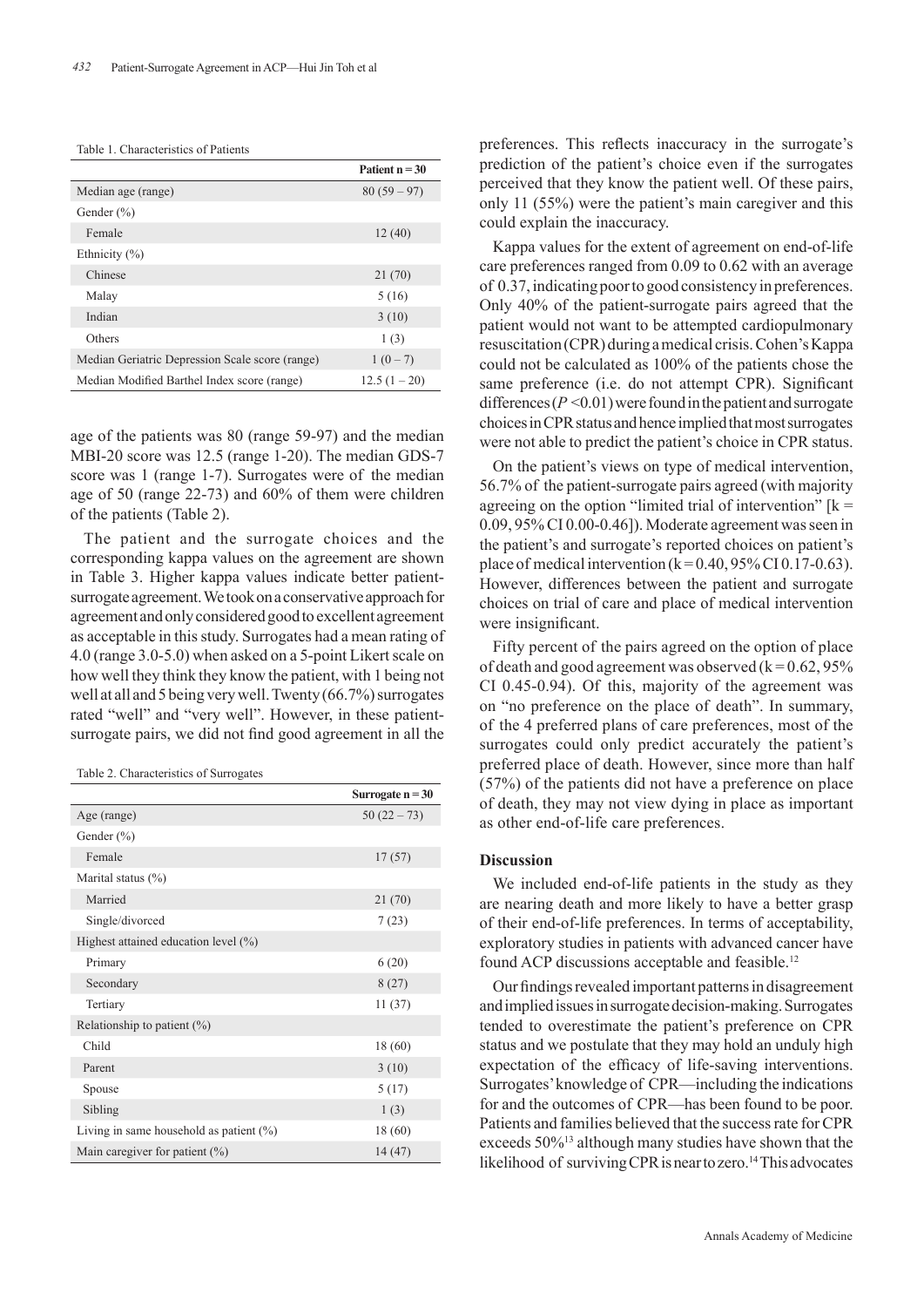|                                                 | Patient $n = 30$ |
|-------------------------------------------------|------------------|
| Median age (range)                              | $80(59-97)$      |
| Gender $(\% )$                                  |                  |
| Female                                          | 12(40)           |
| Ethnicity $(\% )$                               |                  |
| Chinese                                         | 21 (70)          |
| Malay                                           | 5(16)            |
| Indian                                          | 3(10)            |
| Others                                          | 1(3)             |
| Median Geriatric Depression Scale score (range) | $1(0-7)$         |
| Median Modified Barthel Index score (range)     | $12.5(1-20)$     |

age of the patients was 80 (range 59-97) and the median MBI-20 score was 12.5 (range 1-20). The median GDS-7 score was 1 (range 1-7). Surrogates were of the median age of 50 (range 22-73) and 60% of them were children of the patients (Table 2).

The patient and the surrogate choices and the corresponding kappa values on the agreement are shown in Table 3. Higher kappa values indicate better patientsurrogate agreement. We took on a conservative approach for agreement and only considered good to excellent agreement as acceptable in this study. Surrogates had a mean rating of 4.0 (range 3.0-5.0) when asked on a 5-point Likert scale on how well they think they know the patient, with 1 being not well at all and 5 being very well. Twenty (66.7%) surrogates rated "well" and "very well". However, in these patientsurrogate pairs, we did not find good agreement in all the

Table 2. Characteristics of Surrogates

|                                            | Surrogate $n = 30$ |
|--------------------------------------------|--------------------|
| Age (range)                                | $50(22-73)$        |
| Gender $(\% )$                             |                    |
| Female                                     | 17(57)             |
| Marital status $(\% )$                     |                    |
| Married                                    | 21(70)             |
| Single/divorced                            | 7(23)              |
| Highest attained education level $(\% )$   |                    |
| Primary                                    | 6(20)              |
| Secondary                                  | 8(27)              |
| Tertiary                                   | 11(37)             |
| Relationship to patient $(\% )$            |                    |
| Child                                      | 18 (60)            |
| Parent                                     | 3(10)              |
| Spouse                                     | 5(17)              |
| Sibling                                    | 1(3)               |
| Living in same household as patient $(\%)$ | 18 (60)            |
| Main caregiver for patient $(\% )$         | 14(47)             |

preferences. This reflects inaccuracy in the surrogate's prediction of the patient's choice even if the surrogates perceived that they know the patient well. Of these pairs, only 11 (55%) were the patient's main caregiver and this could explain the inaccuracy.

Kappa values for the extent of agreement on end-of-life care preferences ranged from 0.09 to 0.62 with an average of 0.37, indicating poor to good consistency in preferences. Only 40% of the patient-surrogate pairs agreed that the patient would not want to be attempted cardiopulmonary resuscitation (CPR) during a medical crisis. Cohen's Kappa could not be calculated as 100% of the patients chose the same preference (i.e. do not attempt CPR). Significant differences  $(P \le 0.01)$  were found in the patient and surrogate choices in CPR status and hence implied that most surrogates were not able to predict the patient's choice in CPR status.

On the patient's views on type of medical intervention, 56.7% of the patient-surrogate pairs agreed (with majority agreeing on the option "limited trial of intervention"  $[k =$ 0.09, 95% CI 0.00-0.46]). Moderate agreement was seen in the patient's and surrogate's reported choices on patient's place of medical intervention  $(k=0.40, 95\% \text{ CI } 0.17-0.63)$ . However, differences between the patient and surrogate choices on trial of care and place of medical intervention were insignificant.

Fifty percent of the pairs agreed on the option of place of death and good agreement was observed  $(k = 0.62, 95\%$ CI 0.45-0.94). Of  this, majority of the agreement was on "no preference on the place of  death". In summary, of  the 4 preferred plans of care preferences, most of the surrogates could only predict accurately the patient's preferred place of death. However, since more than half (57%) of the patients did not have a preference on place of death, they may not view dying in place as important as other end-of-life care preferences.

#### **Discussion**

We included end-of-life patients in the study as they are nearing death and more likely to have a better grasp of their end-of-life preferences. In terms of acceptability, exploratory studies in patients with advanced cancer have found ACP discussions acceptable and feasible.12

Our findings revealed important patterns in disagreement and implied issues in surrogate decision-making. Surrogates tended to overestimate the patient's preference on CPR status and we postulate that they may hold an unduly high expectation of the efficacy of life-saving interventions. Surrogates' knowledge of CPR—including the indications for and the outcomes of CPR—has been found to be poor. Patients and families believed that the success rate for CPR exceeds 50%13 although many studies have shown that the likelihood of surviving CPR is near to zero.<sup>14</sup> This advocates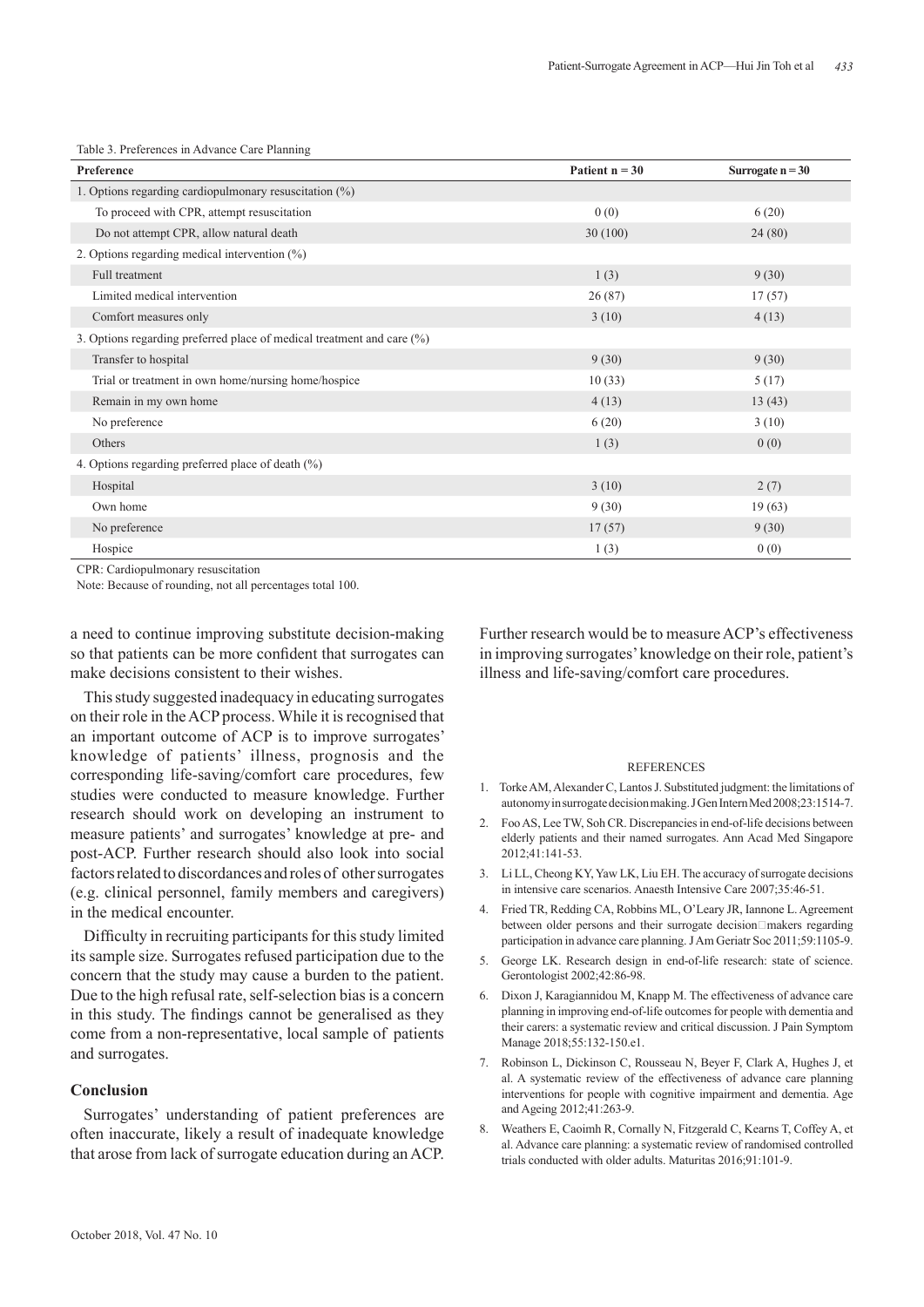| Table 3. Preferences in Advance Care Planning |  |  |  |  |
|-----------------------------------------------|--|--|--|--|
|-----------------------------------------------|--|--|--|--|

| Preference                                                                | Patient $n = 30$ | Surrogate $n = 30$ |
|---------------------------------------------------------------------------|------------------|--------------------|
| 1. Options regarding cardiopulmonary resuscitation $(\%)$                 |                  |                    |
| To proceed with CPR, attempt resuscitation                                | 0(0)             | 6(20)              |
| Do not attempt CPR, allow natural death                                   | 30(100)          | 24(80)             |
| 2. Options regarding medical intervention $(\%)$                          |                  |                    |
| Full treatment                                                            | 1(3)             | 9(30)              |
| Limited medical intervention                                              | 26(87)           | 17(57)             |
| Comfort measures only                                                     | 3(10)            | 4(13)              |
| 3. Options regarding preferred place of medical treatment and care $(\%)$ |                  |                    |
| Transfer to hospital                                                      | 9(30)            | 9(30)              |
| Trial or treatment in own home/nursing home/hospice                       | 10(33)           | 5(17)              |
| Remain in my own home                                                     | 4(13)            | 13(43)             |
| No preference                                                             | 6(20)            | 3(10)              |
| Others                                                                    | 1(3)             | 0(0)               |
| 4. Options regarding preferred place of death $(\%)$                      |                  |                    |
| Hospital                                                                  | 3(10)            | 2(7)               |
| Own home                                                                  | 9(30)            | 19(63)             |
| No preference                                                             | 17(57)           | 9(30)              |
| Hospice                                                                   | 1(3)             | 0(0)               |

CPR: Cardiopulmonary resuscitation

Note: Because of rounding, not all percentages total 100.

a need to continue improving substitute decision-making so that patients can be more confident that surrogates can make decisions consistent to their wishes.

This study suggested inadequacy in educating surrogates on their role in the ACP process. While it is recognised that an important outcome of ACP is to improve surrogates' knowledge of patients' illness, prognosis and the corresponding life-saving/comfort care procedures, few studies were conducted to measure knowledge. Further research should work on developing an instrument to measure patients' and surrogates' knowledge at pre- and post-ACP. Further research should also look into social factors related to discordances and roles of other surrogates (e.g. clinical personnel, family members and caregivers) in the medical encounter.

Difficulty in recruiting participants for this study limited its sample size. Surrogates refused participation due to the concern that the study may cause a burden to the patient. Due to the high refusal rate, self-selection bias is a concern in this study. The findings cannot be generalised as they come from a non-representative, local sample of patients and surrogates.

# **Conclusion**

Surrogates' understanding of patient preferences are often inaccurate, likely a result of inadequate knowledge that arose from lack of surrogate education during an ACP.

Further research would be to measure ACP's effectiveness in improving surrogates' knowledge on their role, patient's illness and life-saving/comfort care procedures.

#### REFERENCES

- 1. Torke AM, Alexander C, Lantos J. Substituted judgment: the limitations of autonomy in surrogate decision making. J Gen Intern Med 2008;23:1514-7.
- 2. Foo AS, Lee TW, Soh CR. Discrepancies in end-of-life decisions between elderly patients and their named surrogates. Ann Acad Med Singapore 2012;41:141-53.
- 3. Li LL, Cheong KY, Yaw LK, Liu EH. The accuracy of surrogate decisions in intensive care scenarios. Anaesth Intensive Care 2007;35:46-51.
- 4. Fried TR, Redding CA, Robbins ML, O'Leary JR, Iannone L. Agreement between older persons and their surrogate decision□makers regarding participation in advance care planning. J Am Geriatr Soc 2011;59:1105-9.
- 5. George LK. Research design in end-of-life research: state of science. Gerontologist 2002;42:86-98.
- 6. Dixon J, Karagiannidou M, Knapp M. The effectiveness of advance care planning in improving end-of-life outcomes for people with dementia and their carers: a systematic review and critical discussion. J Pain Symptom Manage 2018;55:132-150.e1.
- 7. Robinson L, Dickinson C, Rousseau N, Beyer F, Clark A, Hughes J, et al. A systematic review of the effectiveness of advance care planning interventions for people with cognitive impairment and dementia. Age and Ageing 2012;41:263-9.
- 8. Weathers E, Caoimh R, Cornally N, Fitzgerald C, Kearns T, Coffey A, et al. Advance care planning: a systematic review of randomised controlled trials conducted with older adults. Maturitas 2016;91:101-9.